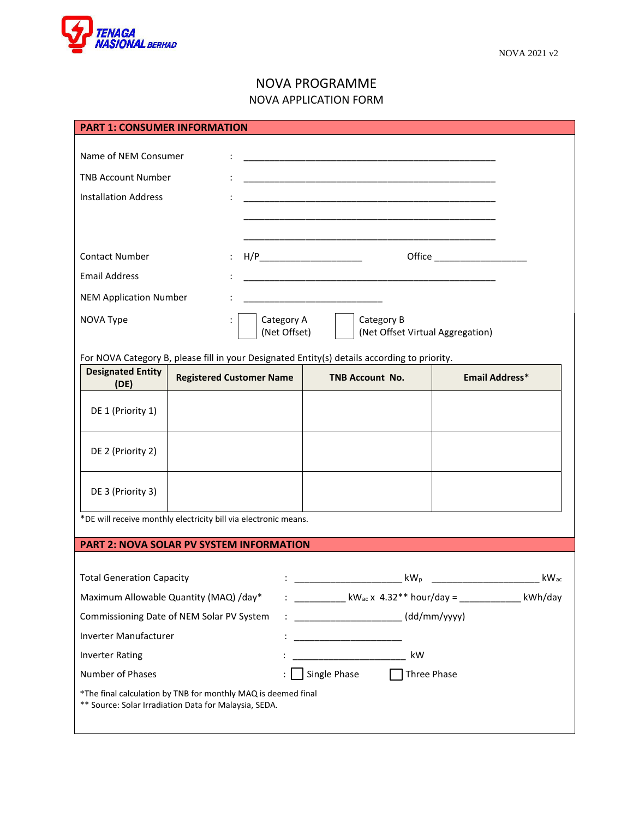

## NOVA PROGRAMME NOVA APPLICATION FORM

| <b>PART 1: CONSUMER INFORMATION</b>                                                                                    |                                                  |                                                                                                                        |                                                                         |            |             |                                                               |      |  |
|------------------------------------------------------------------------------------------------------------------------|--------------------------------------------------|------------------------------------------------------------------------------------------------------------------------|-------------------------------------------------------------------------|------------|-------------|---------------------------------------------------------------|------|--|
|                                                                                                                        |                                                  |                                                                                                                        |                                                                         |            |             |                                                               |      |  |
| Name of NEM Consumer                                                                                                   |                                                  | <u> 1989 - Johann John Stone, mars et al. 1989 - John Stone, mars et al. 1989 - John Stone, mars et al. 1989 - Joh</u> |                                                                         |            |             |                                                               |      |  |
| <b>TNB Account Number</b>                                                                                              |                                                  |                                                                                                                        |                                                                         |            |             |                                                               |      |  |
| <b>Installation Address</b>                                                                                            |                                                  |                                                                                                                        |                                                                         |            |             |                                                               |      |  |
|                                                                                                                        |                                                  |                                                                                                                        |                                                                         |            |             |                                                               |      |  |
|                                                                                                                        |                                                  |                                                                                                                        |                                                                         |            |             |                                                               |      |  |
| <b>Contact Number</b>                                                                                                  |                                                  |                                                                                                                        |                                                                         |            |             |                                                               |      |  |
| <b>Email Address</b>                                                                                                   |                                                  |                                                                                                                        | <u> 1980 - Johann John Stone, mars eta biztanleria (h. 1908).</u>       |            |             |                                                               |      |  |
| <b>NEM Application Number</b>                                                                                          |                                                  |                                                                                                                        |                                                                         |            |             |                                                               |      |  |
| NOVA Type<br>$\ddot{\cdot}$                                                                                            |                                                  | Category A                                                                                                             |                                                                         | Category B |             |                                                               |      |  |
|                                                                                                                        | (Net Offset)<br>(Net Offset Virtual Aggregation) |                                                                                                                        |                                                                         |            |             |                                                               |      |  |
| For NOVA Category B, please fill in your Designated Entity(s) details according to priority.                           |                                                  |                                                                                                                        |                                                                         |            |             |                                                               |      |  |
| <b>Designated Entity</b><br>(DE)                                                                                       | <b>Registered Customer Name</b>                  |                                                                                                                        | <b>TNB Account No.</b>                                                  |            |             | <b>Email Address*</b>                                         |      |  |
|                                                                                                                        |                                                  |                                                                                                                        |                                                                         |            |             |                                                               |      |  |
| DE 1 (Priority 1)                                                                                                      |                                                  |                                                                                                                        |                                                                         |            |             |                                                               |      |  |
|                                                                                                                        |                                                  |                                                                                                                        |                                                                         |            |             |                                                               |      |  |
| DE 2 (Priority 2)                                                                                                      |                                                  |                                                                                                                        |                                                                         |            |             |                                                               |      |  |
|                                                                                                                        |                                                  |                                                                                                                        |                                                                         |            |             |                                                               |      |  |
| DE 3 (Priority 3)                                                                                                      |                                                  |                                                                                                                        |                                                                         |            |             |                                                               |      |  |
| *DE will receive monthly electricity bill via electronic means.                                                        |                                                  |                                                                                                                        |                                                                         |            |             |                                                               |      |  |
| <b>PART 2: NOVA SOLAR PV SYSTEM INFORMATION</b>                                                                        |                                                  |                                                                                                                        |                                                                         |            |             |                                                               |      |  |
|                                                                                                                        |                                                  |                                                                                                                        |                                                                         |            |             |                                                               |      |  |
| <b>Total Generation Capacity</b>                                                                                       |                                                  |                                                                                                                        |                                                                         |            | $kW_p$      | $\frac{1}{2}$ . The contract of the contract of $\frac{1}{2}$ | kWac |  |
| Maximum Allowable Quantity (MAQ) /day*                                                                                 |                                                  |                                                                                                                        | : ___________ kW <sub>ac</sub> x 4.32** hour/day = ____________ kWh/day |            |             |                                                               |      |  |
| Commissioning Date of NEM Solar PV System                                                                              |                                                  |                                                                                                                        | $\frac{1}{1}$ (dd/mm/yyyy)                                              |            |             |                                                               |      |  |
| Inverter Manufacturer                                                                                                  |                                                  |                                                                                                                        |                                                                         |            |             |                                                               |      |  |
| <b>Inverter Rating</b>                                                                                                 |                                                  |                                                                                                                        |                                                                         |            | kW          |                                                               |      |  |
| Number of Phases                                                                                                       |                                                  |                                                                                                                        | Single Phase                                                            |            | Three Phase |                                                               |      |  |
| *The final calculation by TNB for monthly MAQ is deemed final<br>** Source: Solar Irradiation Data for Malaysia, SEDA. |                                                  |                                                                                                                        |                                                                         |            |             |                                                               |      |  |